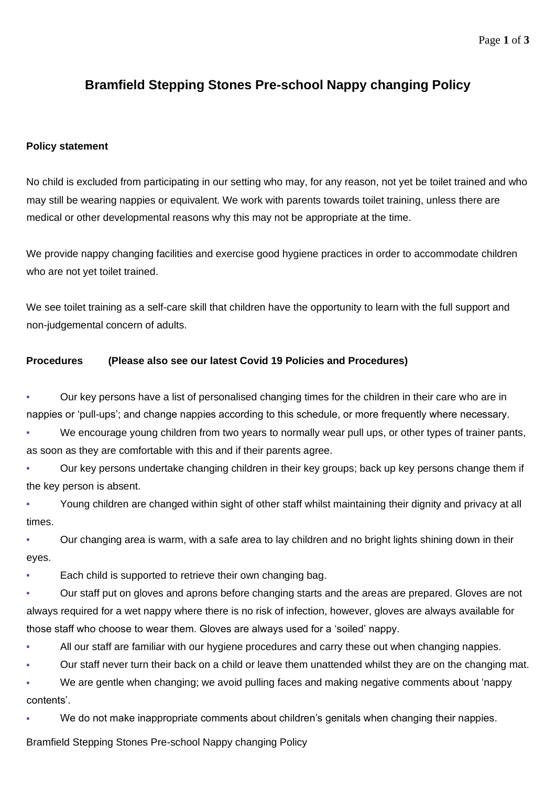## **Bramfield Stepping Stones Pre-school Nappy changing Policy**

## **Policy statement**

No child is excluded from participating in our setting who may, for any reason, not yet be toilet trained and who may still be wearing nappies or equivalent. We work with parents towards toilet training, unless there are medical or other developmental reasons why this may not be appropriate at the time.

We provide nappy changing facilities and exercise good hygiene practices in order to accommodate children who are not vet toilet trained.

We see toilet training as a self-care skill that children have the opportunity to learn with the full support and non-judgemental concern of adults.

## **Procedures (Please also see our latest Covid 19 Policies and Procedures)**

Our key persons have a list of personalised changing times for the children in their care who are in nappies or 'pull-ups'; and change nappies according to this schedule, or more frequently where necessary.

We encourage young children from two years to normally wear pull ups, or other types of trainer pants, as soon as they are comfortable with this and if their parents agree.

Our key persons undertake changing children in their key groups; back up key persons change them if the key person is absent.

Young children are changed within sight of other staff whilst maintaining their dignity and privacy at all times.

Our changing area is warm, with a safe area to lay children and no bright lights shining down in their eyes.

Each child is supported to retrieve their own changing bag.

Our staff put on gloves and aprons before changing starts and the areas are prepared. Gloves are not always required for a wet nappy where there is no risk of infection, however, gloves are always available for those staff who choose to wear them. Gloves are always used for a 'soiled' nappy.

All our staff are familiar with our hygiene procedures and carry these out when changing nappies.

Our staff never turn their back on a child or leave them unattended whilst they are on the changing mat.

We are gentle when changing; we avoid pulling faces and making negative comments about 'nappy contents'.

We do not make inappropriate comments about children's genitals when changing their nappies.

Bramfield Stepping Stones Pre-school Nappy changing Policy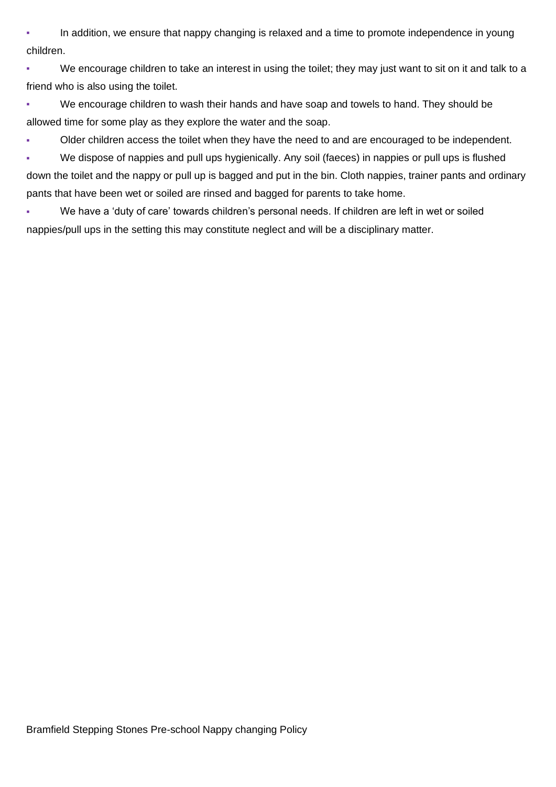**•** In addition, we ensure that nappy changing is relaxed and a time to promote independence in young children.

• We encourage children to take an interest in using the toilet; they may just want to sit on it and talk to a friend who is also using the toilet.

• We encourage children to wash their hands and have soap and towels to hand. They should be allowed time for some play as they explore the water and the soap.

Older children access the toilet when they have the need to and are encouraged to be independent.

▪ We dispose of nappies and pull ups hygienically. Any soil (faeces) in nappies or pull ups is flushed down the toilet and the nappy or pull up is bagged and put in the bin. Cloth nappies, trainer pants and ordinary pants that have been wet or soiled are rinsed and bagged for parents to take home.

▪ We have a 'duty of care' towards children's personal needs. If children are left in wet or soiled nappies/pull ups in the setting this may constitute neglect and will be a disciplinary matter.